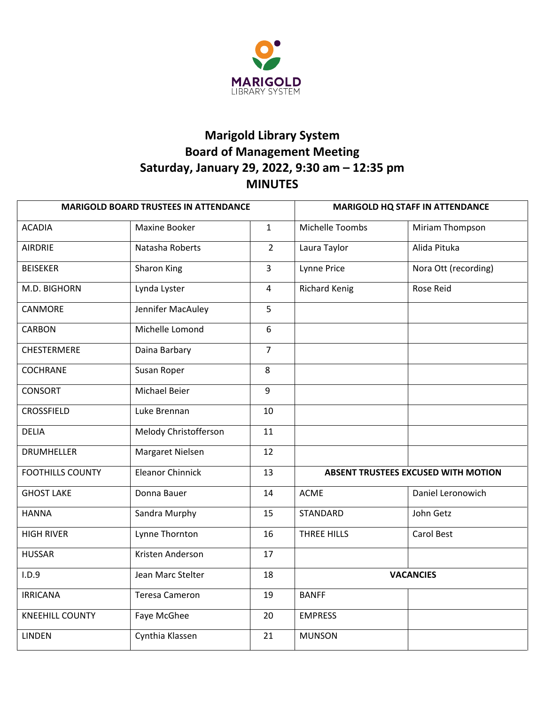

# **Marigold Library System Board of Management Meeting Saturday, January 29, 2022, 9:30 am – 12:35 pm MINUTES**

| <b>MARIGOLD BOARD TRUSTEES IN ATTENDANCE</b> |                         | <b>MARIGOLD HQ STAFF IN ATTENDANCE</b> |                                            |                      |
|----------------------------------------------|-------------------------|----------------------------------------|--------------------------------------------|----------------------|
| <b>ACADIA</b>                                | Maxine Booker           | $\mathbf{1}$                           | Michelle Toombs                            | Miriam Thompson      |
| <b>AIRDRIE</b>                               | Natasha Roberts         | $\overline{2}$                         | Laura Taylor                               | Alida Pituka         |
| <b>BEISEKER</b>                              | Sharon King             | $\overline{3}$                         | Lynne Price                                | Nora Ott (recording) |
| M.D. BIGHORN                                 | Lynda Lyster            | $\overline{4}$                         | <b>Richard Kenig</b>                       | Rose Reid            |
| CANMORE                                      | Jennifer MacAuley       | 5                                      |                                            |                      |
| <b>CARBON</b>                                | Michelle Lomond         | 6                                      |                                            |                      |
| <b>CHESTERMERE</b>                           | Daina Barbary           | $\overline{7}$                         |                                            |                      |
| <b>COCHRANE</b>                              | Susan Roper             | 8                                      |                                            |                      |
| <b>CONSORT</b>                               | Michael Beier           | 9                                      |                                            |                      |
| <b>CROSSFIELD</b>                            | Luke Brennan            | 10                                     |                                            |                      |
| <b>DELIA</b>                                 | Melody Christofferson   | 11                                     |                                            |                      |
| <b>DRUMHELLER</b>                            | Margaret Nielsen        | 12                                     |                                            |                      |
| <b>FOOTHILLS COUNTY</b>                      | <b>Eleanor Chinnick</b> | 13                                     | <b>ABSENT TRUSTEES EXCUSED WITH MOTION</b> |                      |
| <b>GHOST LAKE</b>                            | Donna Bauer             | 14                                     | <b>ACME</b>                                | Daniel Leronowich    |
| <b>HANNA</b>                                 | Sandra Murphy           | 15                                     | STANDARD                                   | John Getz            |
| <b>HIGH RIVER</b>                            | Lynne Thornton          | 16                                     | THREE HILLS                                | <b>Carol Best</b>    |
| <b>HUSSAR</b>                                | Kristen Anderson        | 17                                     |                                            |                      |
| I.D.9                                        | Jean Marc Stelter       | 18                                     | <b>VACANCIES</b>                           |                      |
| <b>IRRICANA</b>                              | <b>Teresa Cameron</b>   | 19                                     | <b>BANFF</b>                               |                      |
| <b>KNEEHILL COUNTY</b>                       | Faye McGhee             | 20                                     | <b>EMPRESS</b>                             |                      |
| <b>LINDEN</b>                                | Cynthia Klassen         | 21                                     | <b>MUNSON</b>                              |                      |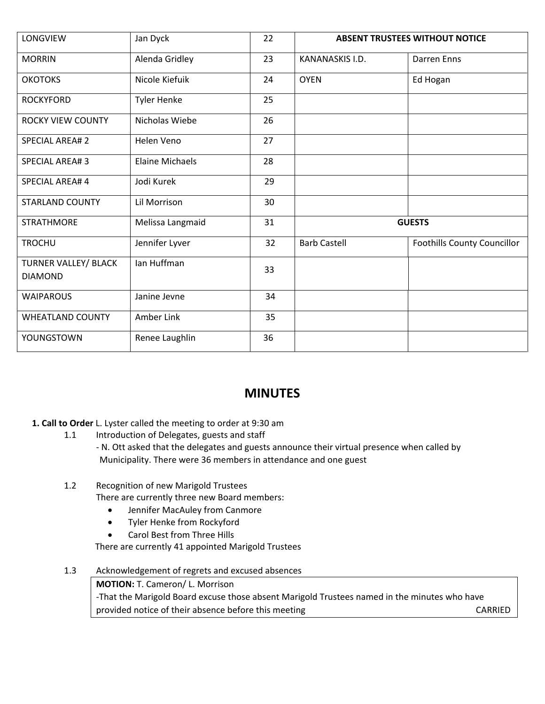| LONGVIEW                               | Jan Dyck               | 22 | <b>ABSENT TRUSTEES WITHOUT NOTICE</b> |                                    |
|----------------------------------------|------------------------|----|---------------------------------------|------------------------------------|
| <b>MORRIN</b>                          | Alenda Gridley         | 23 | KANANASKIS I.D.                       | <b>Darren</b> Enns                 |
| <b>OKOTOKS</b>                         | Nicole Kiefuik         | 24 | <b>OYEN</b>                           | Ed Hogan                           |
| <b>ROCKYFORD</b>                       | <b>Tyler Henke</b>     | 25 |                                       |                                    |
| <b>ROCKY VIEW COUNTY</b>               | Nicholas Wiebe         | 26 |                                       |                                    |
| <b>SPECIAL AREA#2</b>                  | Helen Veno             | 27 |                                       |                                    |
| <b>SPECIAL AREA#3</b>                  | <b>Elaine Michaels</b> | 28 |                                       |                                    |
| SPECIAL AREA# 4                        | Jodi Kurek             | 29 |                                       |                                    |
| <b>STARLAND COUNTY</b>                 | Lil Morrison           | 30 |                                       |                                    |
| <b>STRATHMORE</b>                      | Melissa Langmaid       | 31 | <b>GUESTS</b>                         |                                    |
| <b>TROCHU</b>                          | Jennifer Lyver         | 32 | <b>Barb Castell</b>                   | <b>Foothills County Councillor</b> |
| TURNER VALLEY/ BLACK<br><b>DIAMOND</b> | Ian Huffman            | 33 |                                       |                                    |
| <b>WAIPAROUS</b>                       | Janine Jevne           | 34 |                                       |                                    |
| <b>WHEATLAND COUNTY</b>                | Amber Link             | 35 |                                       |                                    |
| YOUNGSTOWN                             | Renee Laughlin         | 36 |                                       |                                    |

# **MINUTES**

## **1. Call to Order** L. Lyster called the meeting to order at 9:30 am

- 1.1 Introduction of Delegates, guests and staff
	- N. Ott asked that the delegates and guests announce their virtual presence when called by Municipality. There were 36 members in attendance and one guest

# 1.2 Recognition of new Marigold Trustees

There are currently three new Board members:

- Jennifer MacAuley from Canmore
- Tyler Henke from Rockyford
- Carol Best from Three Hills

There are currently 41 appointed Marigold Trustees

1.3 Acknowledgement of regrets and excused absences

**MOTION:** T. Cameron/ L. Morrison -That the Marigold Board excuse those absent Marigold Trustees named in the minutes who have provided notice of their absence before this meeting example of the CARRIED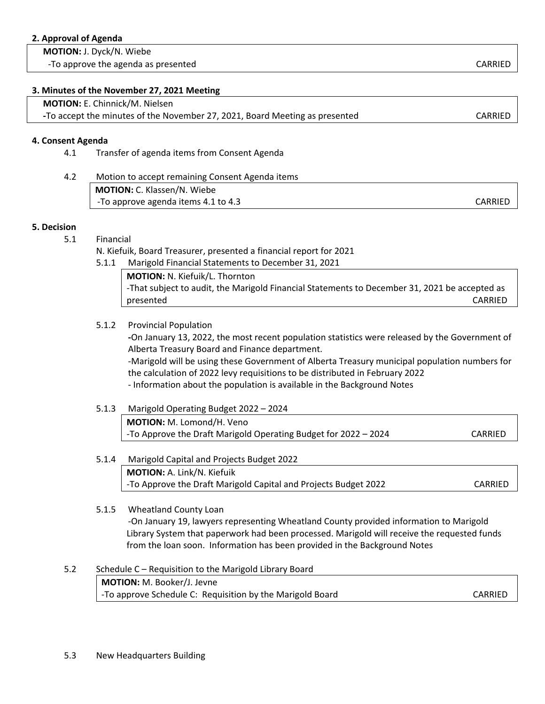#### **2. Approval of Agenda**

 **MOTION:** J. Dyck/N. Wiebe

-To approve the agenda as presented can be a set of the case of the case of the case of the case of the case of the case of the case of the case of the case of the case of the case of the case of the case of the case of th

#### **3. Minutes of the November 27, 2021 Meeting**

 **MOTION:** E. Chinnick/M. Nielsen

 **-**To accept the minutes of the November 27, 2021, Board Meeting as presented CARRIED

#### **4. Consent Agenda**

4.1 Transfer of agenda items from Consent Agenda

| 4.2 | Motion to accept remaining Consent Agenda items |         |
|-----|-------------------------------------------------|---------|
|     | <b>MOTION: C. Klassen/N. Wiebe</b>              |         |
|     | -To approve agenda items 4.1 to 4.3             | CARRIED |

#### **5. Decision**

#### 5.1 Financial

N. Kiefuik, Board Treasurer, presented a financial report for 2021

5.1.1 Marigold Financial Statements to December 31, 2021

**MOTION:** N. Kiefuik/L. Thornton -That subject to audit, the Marigold Financial Statements to December 31, 2021 be accepted as presented CARRIED

### 5.1.2 Provincial Population

**-**On January 13, 2022, the most recent population statistics were released by the Government of Alberta Treasury Board and Finance department.

-Marigold will be using these Government of Alberta Treasury municipal population numbers for the calculation of 2022 levy requisitions to be distributed in February 2022 - Information about the population is available in the Background Notes

 5.1.3 Marigold Operating Budget 2022 – 2024 **MOTION:** M. Lomond/H. Veno -To Approve the Draft Marigold Operating Budget for 2022 – 2024 CARRIED

## 5.1.4 Marigold Capital and Projects Budget 2022 **MOTION:** A. Link/N. Kiefuik -To Approve the Draft Marigold Capital and Projects Budget 2022 CARRIED

#### 5.1.5 Wheatland County Loan

 -On January 19, lawyers representing Wheatland County provided information to Marigold Library System that paperwork had been processed. Marigold will receive the requested funds from the loan soon. Information has been provided in the Background Notes

5.2 Schedule C – Requisition to the Marigold Library Board **MOTION:** M. Booker/J. Jevne -To approve Schedule C: Requisition by the Marigold Board CARRIED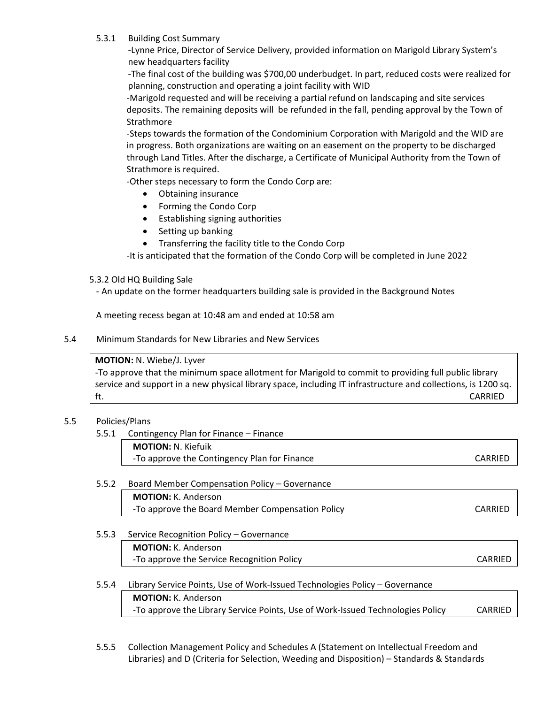#### 5.3.1 Building Cost Summary

-Lynne Price, Director of Service Delivery, provided information on Marigold Library System's new headquarters facility

-The final cost of the building was \$700,00 underbudget. In part, reduced costs were realized for planning, construction and operating a joint facility with WID

-Marigold requested and will be receiving a partial refund on landscaping and site services deposits. The remaining deposits will be refunded in the fall, pending approval by the Town of **Strathmore** 

-Steps towards the formation of the Condominium Corporation with Marigold and the WID are in progress. Both organizations are waiting on an easement on the property to be discharged through Land Titles. After the discharge, a Certificate of Municipal Authority from the Town of Strathmore is required.

-Other steps necessary to form the Condo Corp are:

- Obtaining insurance
- Forming the Condo Corp
- Establishing signing authorities
- Setting up banking
- Transferring the facility title to the Condo Corp

-It is anticipated that the formation of the Condo Corp will be completed in June 2022

#### 5.3.2 Old HQ Building Sale

- An update on the former headquarters building sale is provided in the Background Notes

A meeting recess began at 10:48 am and ended at 10:58 am

#### 5.4 Minimum Standards for New Libraries and New Services

#### **MOTION:** N. Wiebe/J. Lyver

-To approve that the minimum space allotment for Marigold to commit to providing full public library service and support in a new physical library space, including IT infrastructure and collections, is 1200 sq. ft. CARRIED

#### 5.5 Policies/Plans

5.5.1 Contingency Plan for Finance – Finance

**MOTION:** N. Kiefuik -To approve the Contingency Plan for Finance The CARRIED CARRIED

## 5.5.2 Board Member Compensation Policy – Governance **MOTION:** K. Anderson -To approve the Board Member Compensation Policy CARRIED

#### 5.5.3 Service Recognition Policy – Governance

**MOTION:** K. Anderson -To approve the Service Recognition Policy CARRIED

#### 5.5.4 Library Service Points, Use of Work-Issued Technologies Policy – Governance **MOTION:** K. Anderson

-To approve the Library Service Points, Use of Work-Issued Technologies Policy CARRIED

5.5.5 Collection Management Policy and Schedules A (Statement on Intellectual Freedom and Libraries) and D (Criteria for Selection, Weeding and Disposition) – Standards & Standards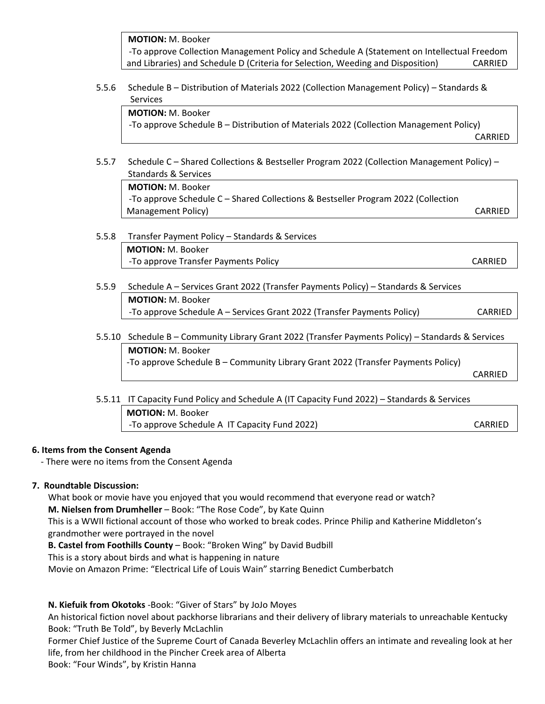**MOTION:** M. Booker -To approve Collection Management Policy and Schedule A (Statement on Intellectual Freedom and Libraries) and Schedule D (Criteria for Selection, Weeding and Disposition) CARRIED

5.5.6 Schedule B – Distribution of Materials 2022 (Collection Management Policy) – Standards & Services

**MOTION:** M. Booker -To approve Schedule B – Distribution of Materials 2022 (Collection Management Policy) CARRIED

 5.5.7 Schedule C – Shared Collections & Bestseller Program 2022 (Collection Management Policy) – Standards & Services

**MOTION:** M. Booker -To approve Schedule C – Shared Collections & Bestseller Program 2022 (Collection Management Policy) and the contract of the contract of the contract of the contract of the contract of the contract of the contract of the contract of the contract of the contract of the contract of the contract of the con

- 5.5.8 Transfer Payment Policy Standards & Services **MOTION:** M. Booker -To approve Transfer Payments Policy CARRIED **CARRIED**
- 5.5.9 Schedule A Services Grant 2022 (Transfer Payments Policy) Standards & Services **MOTION:** M. Booker -To approve Schedule A – Services Grant 2022 (Transfer Payments Policy) CARRIED
- 5.5.10 Schedule B Community Library Grant 2022 (Transfer Payments Policy) Standards & Services **MOTION:** M. Booker -To approve Schedule B – Community Library Grant 2022 (Transfer Payments Policy) CARRIED

 5.5.11 IT Capacity Fund Policy and Schedule A (IT Capacity Fund 2022) – Standards & Services **MOTION:** M. Booker -To approve Schedule A IT Capacity Fund 2022) CARRIED

### **6. Items from the Consent Agenda**

- There were no items from the Consent Agenda

### **7. Roundtable Discussion:**

What book or movie have you enjoyed that you would recommend that everyone read or watch?

**M. Nielsen from Drumheller** – Book: "The Rose Code", by Kate Quinn

This is a WWII fictional account of those who worked to break codes. Prince Philip and Katherine Middleton's grandmother were portrayed in the novel

**B. Castel from Foothills County** – Book: "Broken Wing" by David Budbill

This is a story about birds and what is happening in nature

Movie on Amazon Prime: "Electrical Life of Louis Wain" starring Benedict Cumberbatch

#### **N. Kiefuik from Okotoks** -Book: "Giver of Stars" by JoJo Moyes

An historical fiction novel about packhorse librarians and their delivery of library materials to unreachable Kentucky Book: "Truth Be Told", by Beverly McLachlin

Former Chief Justice of the Supreme Court of Canada Beverley McLachlin offers an intimate and revealing look at her life, from her childhood in the Pincher Creek area of Alberta

Book: "Four Winds", by Kristin Hanna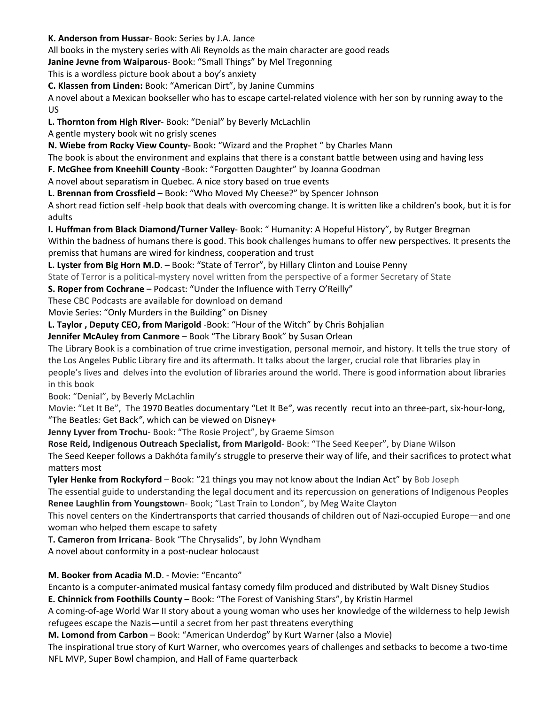**K. Anderson from Hussar**- Book: Series by J.A. Jance

All books in the mystery series with Ali Reynolds as the main character are good reads

**Janine Jevne from Waiparous**- Book: "Small Things" by Mel Tregonning

This is a wordless picture book about a boy's anxiety

**C. Klassen from Linden:** Book: "American Dirt", by Janine Cummins

A novel about a Mexican bookseller who has to escape cartel-related violence with her son by running away to the US

**L. Thornton from High River**- Book: "Denial" by Beverly McLachlin

A gentle mystery book wit no grisly scenes

**N. Wiebe from Rocky View County-** Book**:** "Wizard and the Prophet " by Charles Mann

The book is about the environment and explains that there is a constant battle between using and having less

**F. McGhee from Kneehill County** -Book: "Forgotten Daughter" by Joanna Goodman

A novel about separatism in Quebec. A nice story based on true events

**L. Brennan from Crossfield** – Book: "Who Moved My Cheese?" by Spencer Johnson

A short read fiction self -help book that deals with overcoming change. It is written like a children's book, but it is for adults

**I. Huffman from Black Diamond/Turner Valley**- Book: " Humanity: A Hopeful History", by Rutger Bregman

Within the badness of humans there is good. This book challenges humans to offer new perspectives. It presents the premiss that humans are wired for kindness, cooperation and trust

**L. Lyster from Big Horn M.D**. – Book: "State of Terror", by Hillary Clinton and Louise Penny

State of Terror is a political-mystery novel written from the perspective of a former Secretary of State

**S. Roper from Cochrane** – Podcast: "Under the Influence with Terry O'Reilly"

These CBC Podcasts are available for download on demand

Movie Series: "Only Murders in the Building" on Disney

**L. Taylor , Deputy CEO, from Marigold** -Book: "Hour of the Witch" by Chris Bohjalian

**Jennifer McAuley from Canmore** – Book "The Library Book" by Susan Orlean

The Library Book is a combination of true crime investigation, personal memoir, and history. It tells the true story of the Los Angeles Public Library fire and its aftermath. It talks about the larger, crucial role that libraries play in people's lives and delves into the evolution of libraries around the world. There is good information about libraries in this book

Book: "Denial", by Beverly McLachlin

Movie: "Let It Be", The 1970 Beatles documentary ["Let It Be](https://www.rollingstone.com/t/let-it-be/)*"*, was recently recut into an three-part, six-hour-long, ["The Beatles](https://www.rollingstone.com/t/the-beatles/)*:* [Get Back](https://www.rollingstone.com/t/get-back/)*"*, which can be viewed on Disney+

**Jenny Lyver from Trochu**- Book: "The Rosie Project", by Graeme Simson

**Rose Reid, Indigenous Outreach Specialist, from Marigold**- Book: "The Seed Keeper", by Diane Wilson

The Seed Keeper follows a Dakhóta family's struggle to preserve their way of life, and their sacrifices to protect what matters most

**Tyler Henke from Rockyford** – Book: "21 things you may not know about the Indian Act" by Bob Joseph

The essential guide to understanding the legal document and its repercussion on generations of Indigenous Peoples **Renee Laughlin from Youngstown**- Book; "Last Train to London", by Meg Waite Clayton

This novel centers on the Kindertransports that carried thousands of children out of Nazi-occupied Europe—and one woman who helped them escape to safety

**T. Cameron from Irricana**- Book "The Chrysalids", by John Wyndham

A novel about conformity in a post-nuclear holocaust

**M. Booker from Acadia M.D**. - Movie: "Encanto"

Encanto is a computer-animated musical fantasy comedy film produced and distributed by Walt Disney Studios **E. Chinnick from Foothills County** – Book: "The Forest of Vanishing Stars", by Kristin Harmel

A coming-of-age World War II story about a young woman who uses her knowledge of the wilderness to help Jewish refugees escape the Nazis—until a secret from her past threatens everything

**M. Lomond from Carbon** – Book: "American Underdog" by Kurt Warner (also a Movie)

The inspirational true story of Kurt Warner, who overcomes years of challenges and setbacks to become a two-time NFL MVP, Super Bowl champion, and Hall of Fame quarterback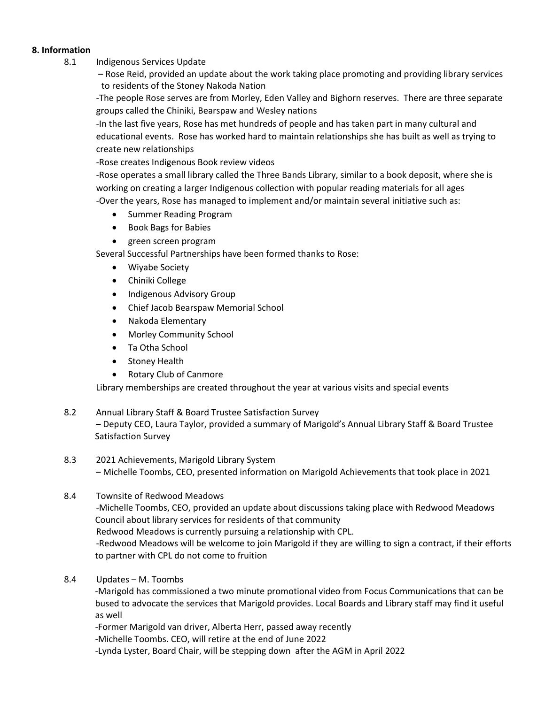#### **8. Information**

- 8.1 Indigenous Services Update
	- Rose Reid, provided an update about the work taking place promoting and providing library services to residents of the Stoney Nakoda Nation

-The people Rose serves are from Morley, Eden Valley and Bighorn reserves. There are three separate groups called the Chiniki, Bearspaw and Wesley nations

-In the last five years, Rose has met hundreds of people and has taken part in many cultural and educational events. Rose has worked hard to maintain relationships she has built as well as trying to create new relationships

-Rose creates Indigenous Book review videos

-Rose operates a small library called the Three Bands Library, similar to a book deposit, where she is working on creating a larger Indigenous collection with popular reading materials for all ages -Over the years, Rose has managed to implement and/or maintain several initiative such as:

- Summer Reading Program
- Book Bags for Babies
- green screen program

Several Successful Partnerships have been formed thanks to Rose:

- Wiyabe Society
- Chiniki College
- Indigenous Advisory Group
- Chief Jacob Bearspaw Memorial School
- Nakoda Elementary
- Morley Community School
- Ta Otha School
- Stoney Health
- Rotary Club of Canmore

Library memberships are created throughout the year at various visits and special events

- 8.2 Annual Library Staff & Board Trustee Satisfaction Survey – Deputy CEO, Laura Taylor, provided a summary of Marigold's Annual Library Staff & Board Trustee Satisfaction Survey
- 8.3 2021 Achievements, Marigold Library System – Michelle Toombs, CEO, presented information on Marigold Achievements that took place in 2021
- 8.4 Townsite of Redwood Meadows -Michelle Toombs, CEO, provided an update about discussions taking place with Redwood Meadows Council about library services for residents of that community Redwood Meadows is currently pursuing a relationship with CPL. -Redwood Meadows will be welcome to join Marigold if they are willing to sign a contract, if their efforts to partner with CPL do not come to fruition
- 8.4 Updates M. Toombs

-Marigold has commissioned a two minute promotional video from Focus Communications that can be bused to advocate the services that Marigold provides. Local Boards and Library staff may find it useful as well

-Former Marigold van driver, Alberta Herr, passed away recently

-Michelle Toombs. CEO, will retire at the end of June 2022

-Lynda Lyster, Board Chair, will be stepping down after the AGM in April 2022